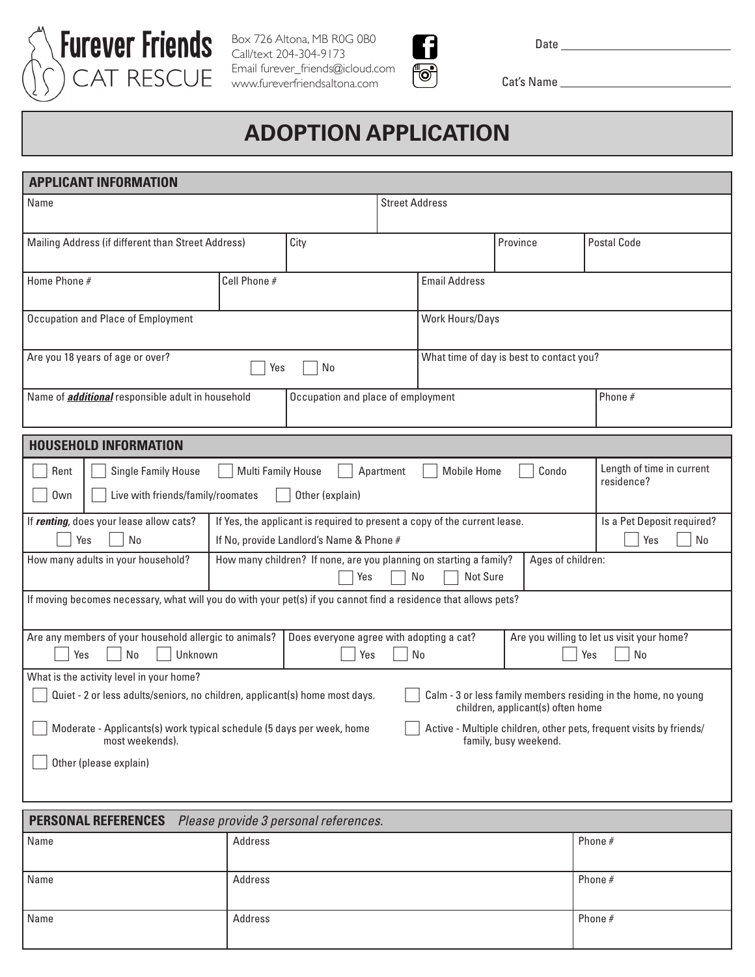

Box 726 Altona, MB R0G 0B0 Call/text 204-304-9173 Email furever\_friends@icloud.com www.fureverfriendsaltona.com



Date

Cat's Name

## **ADOPTION APPLICATION**

| <b>APPLICANT INFORMATION</b>                                                                                                                                                             |                                                                                                                       |                      |                                                        |                                                                                        |                  |                           |  |
|------------------------------------------------------------------------------------------------------------------------------------------------------------------------------------------|-----------------------------------------------------------------------------------------------------------------------|----------------------|--------------------------------------------------------|----------------------------------------------------------------------------------------|------------------|---------------------------|--|
| Name                                                                                                                                                                                     |                                                                                                                       |                      | <b>Street Address</b>                                  |                                                                                        |                  |                           |  |
|                                                                                                                                                                                          |                                                                                                                       |                      |                                                        |                                                                                        |                  | <b>Postal Code</b>        |  |
| City<br>Mailing Address (if different than Street Address)                                                                                                                               |                                                                                                                       |                      | Province                                               |                                                                                        |                  |                           |  |
| Home Phone #                                                                                                                                                                             | Cell Phone #                                                                                                          | <b>Email Address</b> |                                                        |                                                                                        |                  |                           |  |
|                                                                                                                                                                                          |                                                                                                                       |                      |                                                        |                                                                                        |                  |                           |  |
| Occupation and Place of Employment                                                                                                                                                       |                                                                                                                       |                      |                                                        | Work Hours/Days                                                                        |                  |                           |  |
| Are you 18 years of age or over?<br>No<br>Yes                                                                                                                                            |                                                                                                                       |                      |                                                        | What time of day is best to contact you?                                               |                  |                           |  |
| Name of <i>additional</i> responsible adult in household<br>Occupation and place of employment                                                                                           |                                                                                                                       |                      |                                                        |                                                                                        |                  | Phone $#$                 |  |
| <b>HOUSEHOLD INFORMATION</b>                                                                                                                                                             |                                                                                                                       |                      |                                                        |                                                                                        |                  |                           |  |
|                                                                                                                                                                                          |                                                                                                                       |                      |                                                        |                                                                                        |                  | Length of time in current |  |
| Single Family House<br>Rent                                                                                                                                                              | <b>Multi Family House</b>                                                                                             |                      | <b>Mobile Home</b><br>Condo<br>Apartment<br>residence? |                                                                                        |                  |                           |  |
| Live with friends/family/roomates<br>Own                                                                                                                                                 |                                                                                                                       | Other (explain)      |                                                        |                                                                                        |                  |                           |  |
| If renting, does your lease allow cats?<br>Yes<br>No                                                                                                                                     | If Yes, the applicant is required to present a copy of the current lease.<br>If No, provide Landlord's Name & Phone # |                      |                                                        | Is a Pet Deposit required?<br>Yes<br>No                                                |                  |                           |  |
| How many adults in your household?<br>How many children? If none, are you planning on starting a family?                                                                                 |                                                                                                                       |                      |                                                        | Ages of children:                                                                      |                  |                           |  |
|                                                                                                                                                                                          | Not Sure<br>Yes<br>No                                                                                                 |                      |                                                        |                                                                                        |                  |                           |  |
| If moving becomes necessary, what will you do with your pet(s) if you cannot find a residence that allows pets?                                                                          |                                                                                                                       |                      |                                                        |                                                                                        |                  |                           |  |
| Are any members of your household allergic to animals?                                                                                                                                   |                                                                                                                       |                      |                                                        | Are you willing to let us visit your home?<br>Does everyone agree with adopting a cat? |                  |                           |  |
| Unknown<br>Yes<br>No<br>Yes                                                                                                                                                              |                                                                                                                       |                      |                                                        | No                                                                                     | <b>No</b><br>Yes |                           |  |
| What is the activity level in your home?                                                                                                                                                 |                                                                                                                       |                      |                                                        |                                                                                        |                  |                           |  |
| Quiet - 2 or less adults/seniors, no children, applicant(s) home most days.<br>Calm - 3 or less family members residing in the home, no young<br>children, applicant(s) often home       |                                                                                                                       |                      |                                                        |                                                                                        |                  |                           |  |
| Moderate - Applicants(s) work typical schedule (5 days per week, home<br>Active - Multiple children, other pets, frequent visits by friends/<br>most weekends).<br>family, busy weekend. |                                                                                                                       |                      |                                                        |                                                                                        |                  |                           |  |
| Other (please explain)                                                                                                                                                                   |                                                                                                                       |                      |                                                        |                                                                                        |                  |                           |  |
|                                                                                                                                                                                          |                                                                                                                       |                      |                                                        |                                                                                        |                  |                           |  |
| <b>PERSONAL REFERENCES</b><br>Please provide 3 personal references.                                                                                                                      |                                                                                                                       |                      |                                                        |                                                                                        |                  |                           |  |
| Namo                                                                                                                                                                                     | <b>Addrace</b>                                                                                                        |                      |                                                        |                                                                                        |                  | Phone $#$                 |  |

| Name | Address | Phone # |
|------|---------|---------|
|      |         |         |
| Name | Address | Phone # |
|      |         |         |
| Name | Address | Phone # |
|      |         |         |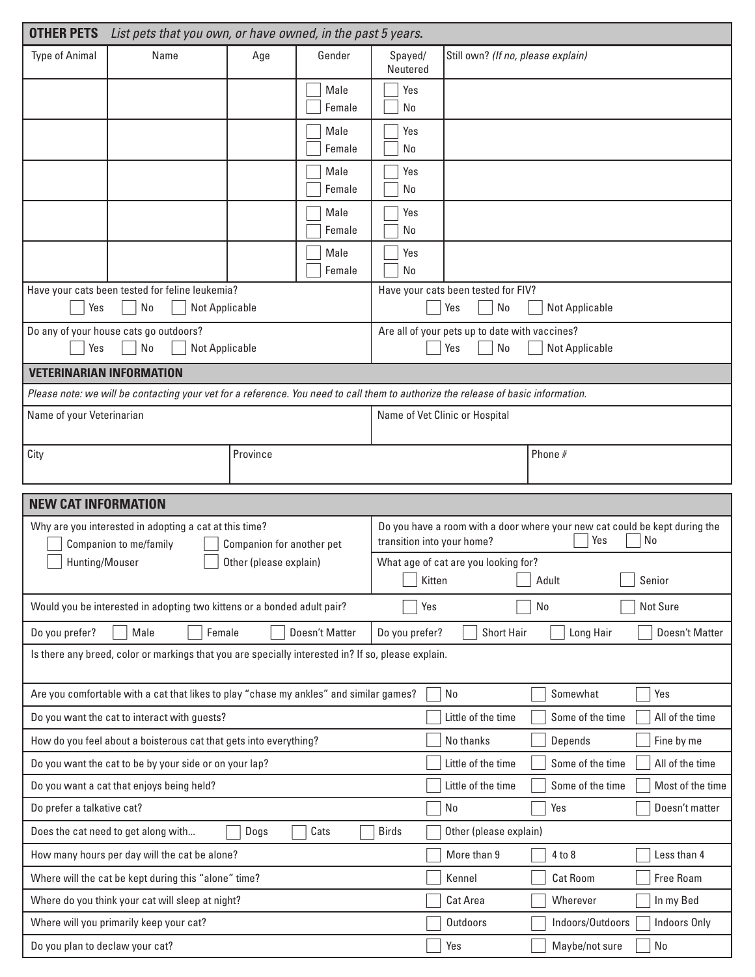| <b>OTHER PETS</b>                                                              | List pets that you own, or have owned, in the past 5 years.                                                                       |                           |                                                                                      |                                |                                                  |                  |                                                                                  |
|--------------------------------------------------------------------------------|-----------------------------------------------------------------------------------------------------------------------------------|---------------------------|--------------------------------------------------------------------------------------|--------------------------------|--------------------------------------------------|------------------|----------------------------------------------------------------------------------|
| <b>Type of Animal</b>                                                          | Name                                                                                                                              | Age                       | Gender                                                                               | Spayed/<br>Neutered            | Still own? (If no, please explain)               |                  |                                                                                  |
|                                                                                |                                                                                                                                   |                           | Male<br>Female                                                                       | Yes<br>No                      |                                                  |                  |                                                                                  |
|                                                                                |                                                                                                                                   |                           | Male<br>Female                                                                       | Yes<br>No                      |                                                  |                  |                                                                                  |
|                                                                                |                                                                                                                                   |                           | Male<br>Female                                                                       | Yes<br>No                      |                                                  |                  |                                                                                  |
|                                                                                |                                                                                                                                   |                           | Male<br>Female                                                                       | Yes<br>No                      |                                                  |                  |                                                                                  |
|                                                                                |                                                                                                                                   |                           | Male<br>Female                                                                       | Yes<br>No                      |                                                  |                  |                                                                                  |
| Have your cats been tested for feline leukemia?<br>No<br>Not Applicable<br>Yes |                                                                                                                                   |                           |                                                                                      |                                | Have your cats been tested for FIV?<br>No<br>Yes | Not Applicable   |                                                                                  |
| Do any of your house cats go outdoors?<br>No<br>Not Applicable<br>Yes          |                                                                                                                                   |                           | Are all of your pets up to date with vaccines?<br>No<br><b>Not Applicable</b><br>Yes |                                |                                                  |                  |                                                                                  |
| <b>VETERINARIAN INFORMATION</b>                                                |                                                                                                                                   |                           |                                                                                      |                                |                                                  |                  |                                                                                  |
|                                                                                | Please note: we will be contacting your vet for a reference. You need to call them to authorize the release of basic information. |                           |                                                                                      |                                |                                                  |                  |                                                                                  |
|                                                                                | Name of your Veterinarian                                                                                                         |                           |                                                                                      | Name of Vet Clinic or Hospital |                                                  |                  |                                                                                  |
| City                                                                           |                                                                                                                                   | Province                  |                                                                                      |                                |                                                  | Phone #          |                                                                                  |
| <b>NEW CAT INFORMATION</b>                                                     |                                                                                                                                   |                           |                                                                                      |                                |                                                  |                  |                                                                                  |
|                                                                                |                                                                                                                                   |                           |                                                                                      |                                |                                                  |                  |                                                                                  |
|                                                                                | Why are you interested in adopting a cat at this time?<br>Companion to me/family                                                  | Companion for another pet |                                                                                      | transition into your home?     |                                                  | Yes              | Do you have a room with a door where your new cat could be kept during the<br>No |
| Hunting/Mouser                                                                 |                                                                                                                                   | Other (please explain)    |                                                                                      | Kitten                         | What age of cat are you looking for?             | Adult            | Senior                                                                           |
|                                                                                | Would you be interested in adopting two kittens or a bonded adult pair?                                                           |                           |                                                                                      | Yes                            |                                                  | No               | Not Sure                                                                         |
| Do you prefer?                                                                 | Male<br>Female                                                                                                                    |                           | Doesn't Matter                                                                       | Do you prefer?                 | <b>Short Hair</b>                                | Long Hair        | Doesn't Matter                                                                   |
|                                                                                | Is there any breed, color or markings that you are specially interested in? If so, please explain.                                |                           |                                                                                      |                                |                                                  |                  |                                                                                  |
|                                                                                | Are you comfortable with a cat that likes to play "chase my ankles" and similar games?                                            |                           |                                                                                      |                                | No                                               | Somewhat         | Yes                                                                              |
|                                                                                | Do you want the cat to interact with guests?                                                                                      |                           |                                                                                      |                                | Little of the time                               | Some of the time | All of the time                                                                  |
|                                                                                | How do you feel about a boisterous cat that gets into everything?                                                                 |                           |                                                                                      |                                | No thanks                                        | Depends          | Fine by me                                                                       |
|                                                                                | Do you want the cat to be by your side or on your lap?                                                                            |                           |                                                                                      |                                | Little of the time                               | Some of the time | All of the time                                                                  |
|                                                                                | Do you want a cat that enjoys being held?                                                                                         |                           |                                                                                      |                                | Little of the time                               | Some of the time | Most of the time                                                                 |
| Do prefer a talkative cat?                                                     |                                                                                                                                   |                           |                                                                                      |                                | No                                               | Yes              | Doesn't matter                                                                   |
|                                                                                | Does the cat need to get along with                                                                                               | Dogs                      | Cats                                                                                 | <b>Birds</b>                   | Other (please explain)                           |                  |                                                                                  |
|                                                                                | How many hours per day will the cat be alone?                                                                                     |                           |                                                                                      |                                | More than 9                                      | 4 to 8           | Less than 4                                                                      |
|                                                                                | Where will the cat be kept during this "alone" time?                                                                              |                           |                                                                                      |                                | Kennel                                           | <b>Cat Room</b>  | Free Roam                                                                        |
|                                                                                | Where do you think your cat will sleep at night?                                                                                  |                           |                                                                                      |                                | Cat Area                                         | Wherever         | In my Bed                                                                        |
|                                                                                | Where will you primarily keep your cat?                                                                                           |                           |                                                                                      |                                | Outdoors                                         | Indoors/Outdoors | Indoors Only                                                                     |